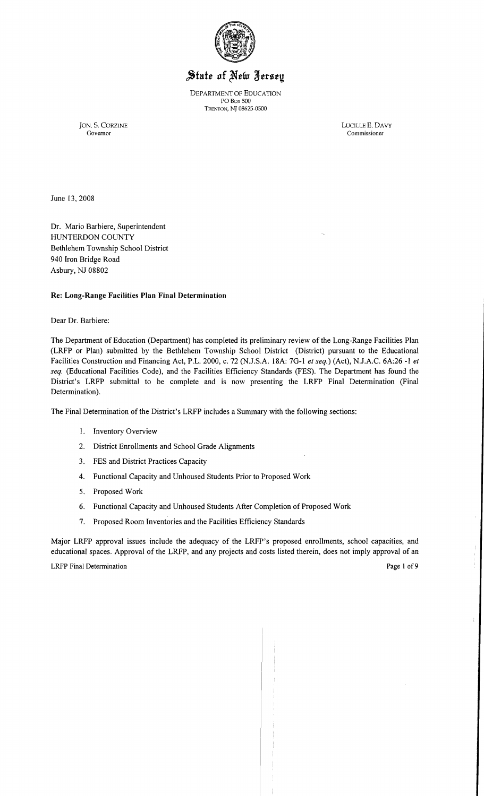

# State of New Jersey

DEPARTMENT OF EDUCATION POBox 500 TRENTON, NT *08625-0500* 

Governor Commissioner

JON. S. CORZINE LUCILLE E. DAVY

June 13,2008

Dr. Mario Barbiere, Superintendent HUNTERDON COUNTY Bethlehem Township School District 940 Iron Bridge Road Asbury, NJ 08802

## Re: Long-Range Facilities Plan Final Determination

Dear Dr. Barbiere:

The Department of Education (Department) has completed its preliminary review of the Long-Range Facilities Plan (LRFP or Plan) submitted by the Bethlehem Township School District (District) pursuant to the Educational Facilities Construction and Financing Act, P.L. 2000, c. 72 (N.J.S.A. 18A: 7G-l *et seq.)* (Act), NJ.A.C. 6A:26 -1 *et seq.* (Educational Facilities Code), and the Facilities Efficiency Standards (FES). The Department has found the District's LRFP submittal to be complete and is now presenting the LRFP Final Determination (Final Determination).

The Final Determination of the District's LRFP includes a Summary with the following sections:

- 1. Inventory Overview
- 2. District Enrollments and School Grade Alignments
- 3. FES and District Practices Capacity
- 4. Functional Capacity and Unhoused Students Prior to Proposed Work
- 5. Proposed Work
- 6. Functional Capacity and Unhoused Students After Completion of Proposed Work
- 7. Proposed Room Inventories and the Facilities Efficiency Standards

Major LRFP approval issues include the adequacy of the LRFP's proposed enrollments, school capacities, and educational spaces. Approval of the LRFP, and any projects and costs listed therein, does not imply approval of an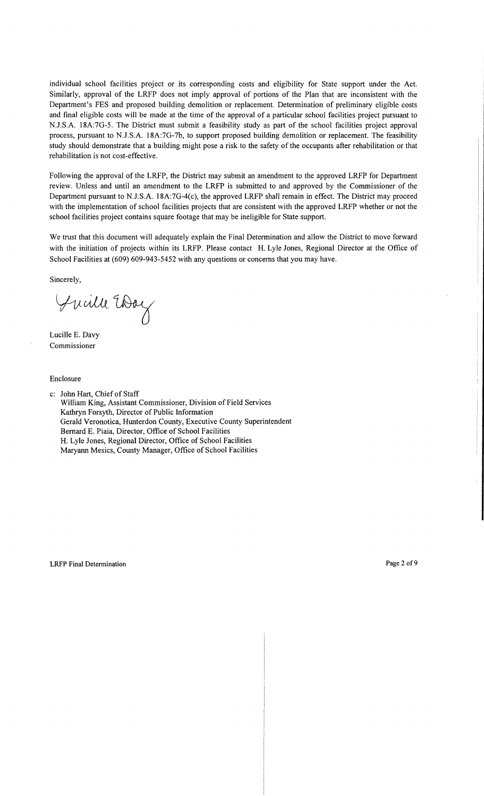individual school facilities project or its corresponding costs and eligibility for State support under the Act. Similarly, approval of the LRFP does not imply approval of portions of the Plan that are inconsistent with the Department's FES and proposed building demolition or replacement. Determination of preliminary eligible costs and final eligible costs will be made at the time of the approval of a particular school facilities project pursuant to N.J.S.A. 18A:7G-5. The District must submit a feasibility study as part of the school facilities project approval process, pursuant to N.J.S.A. 18A:7G-7b, to support proposed building demolition or replacement. The feasibility study should demonstrate that a building might pose a risk to the safety of the occupants after rehabilitation or that rehabilitation is not cost-effective.

Following the approval of the LRFP, the District may submit an amendment to the approved LRFP for Department review. Unless and until an amendment to the LRFP is submitted to and approved by the Commissioner of the Department pursuant to N.J.S.A. 18A:7G-4(c), the approved LRFP shall remain in effect. The District may proceed with the implementation of school facilities projects that are consistent with the approved LRFP whether or not the school facilities project contains square footage that may be ineligible for State support.

We trust that this document will adequately explain the Final Determination and allow the District to move forward with the initiation of projects within its LRFP. Please contact H. Lyle Jones, Regional Director at the Office of School Facilities at (609) 609-943-5452 with any questions or concerns that you may have.

Sincerely,

Jucille Way

Lucille E. Davy Commissioner

Enclosure

c: John Hart, Chief of Staff William King, Assistant Commissioner, Division of Field Services Kathryn Forsyth, Director of Public Information Gerald Veronotica, Hunterdon County, Executive County Superintendent Bernard E. Piaia, Director, Office of School Facilities H. Lyle Jones, Regional Director, Office of School Facilities Maryann Mesics, County Manager, Office of School Facilities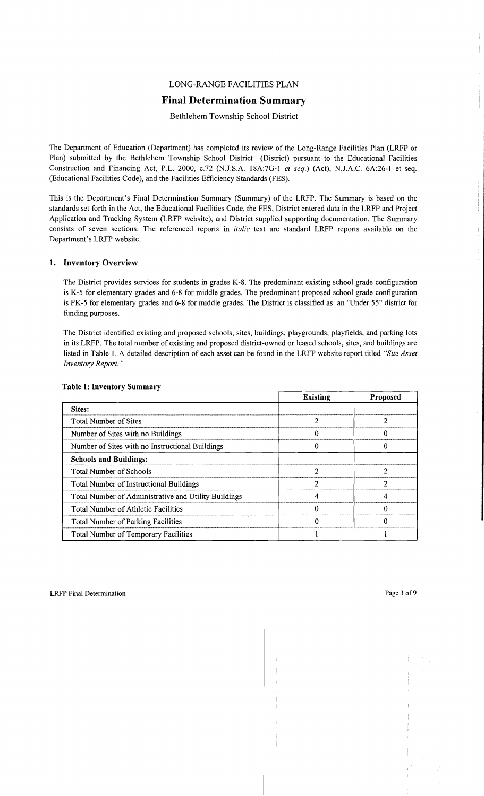## LONG-RANGE FACILITIES PLAN

## **Final Determination Summary**

Bethlehem Township School District

The Department of Education (Department) has completed its review of the Long-Range Facilities Plan (LRFP or Plan) submitted by the Bethlehem Township School District (District) pursuant to the Educational Facilities Construction and Financing Act, P.L. 2000, c.72 (NJ.S.A. 18A:7G-l *et seq.)* (Act), N.J.A.C. 6A:26-1 et seq. (Educational Facilities Code), and the Facilities Efficiency Standards (FES).

This is the Department's Final Determination Summary (Summary) of the LRFP. The Summary is based on the standards set forth in the Act, the Educational Facilities Code, the FES, District entered data in the LRFP and Project Application and Tracking System (LRFP website), and District supplied supporting documentation. The Summary consists of seven sections. The referenced reports in *italic* text are standard LRFP reports available on the Department's LRFP website.

## **1. Inventory Overview**

The District provides services for students in grades K-8. The predominant existing school grade configuration is K-5 for elementary grades and 6-8 for middle grades. The predominant proposed school grade configuration is PK-5 for elementary grades and 6-8 for middle grades. The District is classified as an "Under 55" district for funding purposes.

The District identified existing and proposed schools, sites, buildings, playgrounds, playfields, and parking lots in its LRFP. The total number of existing and proposed district-owned or leased schools, sites, and buildings are listed in Table 1. A detailed description of each asset can be found in the LRFP website report titled *"Site Asset Inventory Report. "* 

|                                                      | <b>Existing</b> | <b>Proposed</b> |
|------------------------------------------------------|-----------------|-----------------|
| Sites:                                               |                 |                 |
| Total Number of Sites                                |                 |                 |
| Number of Sites with no Buildings                    |                 |                 |
| Number of Sites with no Instructional Buildings      |                 |                 |
| <b>Schools and Buildings:</b>                        |                 |                 |
| <b>Total Number of Schools</b>                       | າ               |                 |
| <b>Total Number of Instructional Buildings</b>       |                 |                 |
| Total Number of Administrative and Utility Buildings |                 |                 |
| Total Number of Athletic Facilities                  |                 |                 |
| ٠<br><b>Total Number of Parking Facilities</b>       |                 |                 |
| Total Number of Temporary Facilities                 |                 |                 |

## **Table 1: Inventory Summary**

ţ.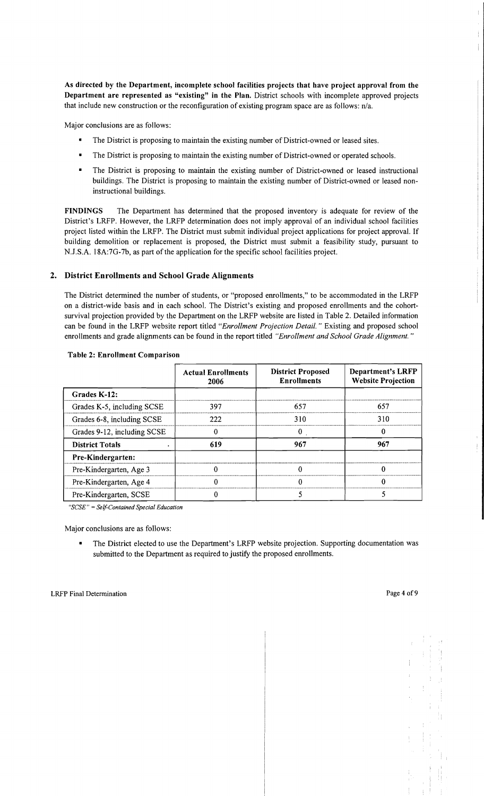As directed by the Department, incomplete school facilities projects that have project approval from the Department are represented as "existing" in the Plan. District schools with incomplete approved projects that include new construction or the reconfiguration of existing program space are as follows: nJa.

Major conclusions are as follows:

- The District is proposing to maintain the existing number of District-owned or leased sites.
- The District is proposing to maintain the existing number of District-owned or operated schools.
- The District is proposing to maintain the existing number of District-owned or leased instructional buildings. The District is proposing to maintain the existing number of District-owned or leased noninstructional buildings.

FINDINGS The Department has determined that the proposed inventory is adequate for review of the District's LRFP. However, the LRFP determination does not imply approval of an individual school facilities project listed within the LRFP. The District must submit individual project applications for project approval. If building demolition or replacement is proposed, the District must submit a feasibility study, pursuant to NJ.S.A. 18A:7G-7b, as part of the application for the specific school facilities project.

#### 2. District Enrollments and School Grade Alignments

The District determined the number of students, or "proposed enrollments," to be accommodated in the LRFP on a district-wide basis and in each school. The District's existing and proposed enrollments and the cohortsurvival projection provided by the Department on the LRFP website are listed in Table 2. Detailed information can be found in the LRFP website report titled *"Enrollment Projection Detail.* " Existing and proposed school enrollments and grade alignments can be found in the report titled *"Enrollment and School Grade Alignment. "* 

|                             | <b>Actual Enrollments</b><br>2006 | <b>District Proposed</b><br><b>Enrollments</b> | <b>Department's LRFP</b><br><b>Website Projection</b> |
|-----------------------------|-----------------------------------|------------------------------------------------|-------------------------------------------------------|
| Grades K-12:                |                                   |                                                |                                                       |
| Grades K-5, including SCSE  | 397                               | 657                                            | 657                                                   |
| Grades 6-8, including SCSE  | 222                               | 310                                            | 310                                                   |
| Grades 9-12, including SCSE | o                                 | 0                                              | 0                                                     |
| <b>District Totals</b>      | 619                               | 967                                            | 967                                                   |
| Pre-Kindergarten:           |                                   |                                                |                                                       |
| Pre-Kindergarten, Age 3     | 0                                 | 0                                              | 0                                                     |
| Pre-Kindergarten, Age 4     |                                   |                                                |                                                       |
| Pre-Kindergarten, SCSE      |                                   |                                                |                                                       |

#### Table 2: Enrollment Comparison

*"SCSE"* = *Self-Contained Special Education* 

Major conclusions are as follows:

The District elected to use the Department's LRFP website projection. Supporting documentation was submitted to the Department as required to justify the proposed enrollments.

Ť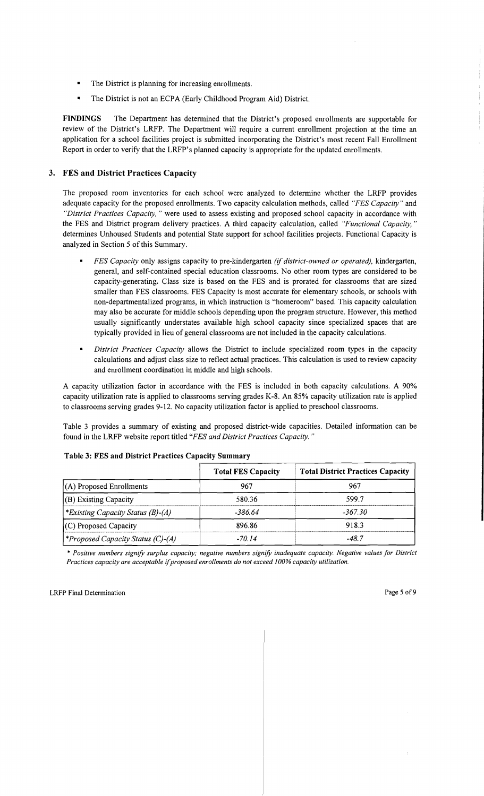- The District is planning for increasing enrollments.
- The District is not an ECPA (Early Childhood Program Aid) District.

**FINDINGS** The Department has determined that the District's proposed enrollments are supportable for review of the District's LRFP. The Department will require a current enrollment projection at the time an application for a school facilities project is submitted incorporating the District's most recent Fall Enrollment Report in order to verify that the LRFP's planned capacity is appropriate for the updated enrollments.

## **3. FES and District Practices Capacity**

The proposed room inventories for each school were analyzed to determine whether the LRFP provides adequate capacity for the proposed enrollments. Two capacity calculation methods, called *"FES Capacity"* and *"District Practices Capacity,* " were used to assess existing and proposed .school capacity in accordance with the FES and District program delivery practices. A third capacity calculation, called *"Functional Capacity, "*  determines Unhoused Students and potential State support for school facilities projects. Functional Capacity is analyzed in Section 5 of this Summary.

- *FES Capacity* only assigns capacity to pre-kindergarten *(if district-owned or operated),* kindergarten, general, and self-contained special education classrooms. No other room types are considered to be capacity-generating. Class size is based on the FES and is prorated for classrooms that are sized smaller than FES classrooms. FES Capacity is most accurate for elementary schools, or schools with non-departmentalized programs, in which instruction is "homeroom" based. This capacity calculation may also be accurate for middle schools depending upon the program structure. However, this method usually significantly understates available high school capacity since specialized spaces that are typically provided in lieu of general classrooms are not included in the capacity calculations.
- *District Practices Capacity allows the District to include specialized room types in the capacity* calculations and adjust class size to reHect actual practices. This calculation is used to review capacity and enrollment coordination in middle and high schools.

A capacity utilization factor in accordance with the FES is included in both capacity calculations. A 90% capacity utilization rate is applied to classrooms serving grades K-8. An 85% capacity utilization rate is applied to classrooms serving grades 9-12. No capacity utilization factor is applied to preschool classrooms.

Table 3 provides a summary of existing and proposed district-wide capacities. Detailed information can be found in the LRFP website report titled *"FES and District Practices Capacity. "* 

|                                          | <b>Total FES Capacity</b> | <b>Total District Practices Capacity</b> |
|------------------------------------------|---------------------------|------------------------------------------|
| $(A)$ Proposed Enrollments               | 967                       | 967                                      |
| (B) Existing Capacity                    | 580.36                    | 599.7                                    |
| *Existing Capacity Status $(B)$ - $(A)$  | -386.64                   | -367.30                                  |
| $(C)$ Proposed Capacity                  | 896.86                    | 918.3                                    |
| <i>*Proposed Capacity Status (C)-(A)</i> | -70.14                    | -48.7                                    |

## **Table 3: FES and District Practices Capacity Summary**

\* *Positive numbers signify surplus capacity; negative numbers signify inadequate capacity. Negative values for District Practices capacity are acceptable ijproposed enrollments do not exceed J00% capacity utilization.*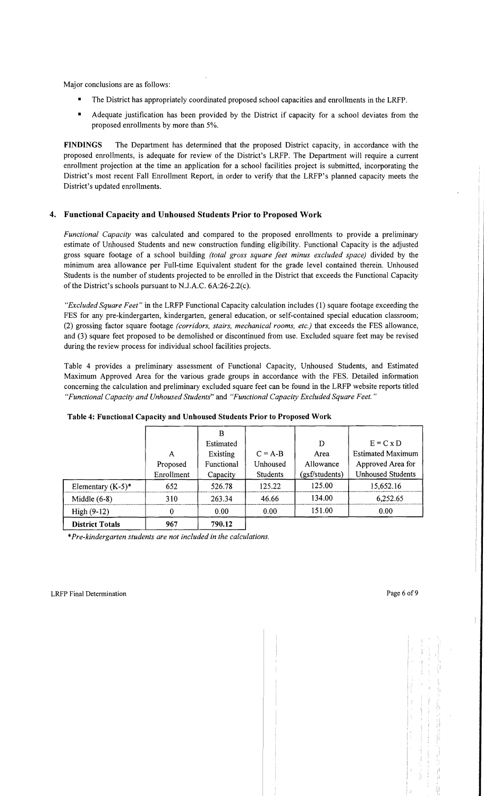Major conclusions are as follows:

- The District has appropriately coordinated proposed school capacities and enrollments in the LRFP.
- • Adequate justification has been provided by the District if capacity for a school deviates from the proposed enrollments by more than 5%.

**FINDINGS** The Department has determined that the proposed District capacity, in accordance with the proposed enrollments, is adequate for review of the District's LRFP. The Department will require a current enrollment projection at the time an application for a school facilities project is submitted, incorporating the District's most recent Fall Enrollment Report, in order to verify that the LRFP's planned capacity meets the District's updated enrollments.

## **4. Functional Capacity and Unhoused Students Prior to Proposed Work**

*Functional Capacity* was calculated and compared to the proposed enrollments to provide a preliminary estimate of Unhoused Students and new construction funding eligibility. Functional Capacity is the adjusted gross square footage of a school building *(total gross square feet minus excluded space)* divided by the minimum area allowance per Full-time Equivalent student for the grade level contained therein. Unhoused Students is the number of students projected to be enrolled in the District that exceeds the Functional Capacity of the District's schools pursuant to N.J.A.C. 6A:26-2.2(c).

*"Excluded Square Feet"* in the LRFP Functional Capacity calculation includes (1) square footage exceeding the FES for any pre-kindergarten, kindergarten, general education, or self-contained special education classroom; (2) grossing factor square footage *(corridors, stairs, mechanical rooms, etc.)* that exceeds the FES allowance, and (3) square feet proposed to be demolished or discontinued from use. Excluded square feet may be revised during the review process for individual school facilities projects.

Table 4 provides a preliminary assessment of Functional Capacity, Unhoused Students, and Estimated Maximum Approved Area for the various grade groups in accordance with the FES. Detailed information concerning the calculation and preliminary excluded square feet can be found in the LRFP website reports titled *"Functional Capacity and Unhoused Students"* and *"Functional Capacity Excluded Square Feet."* 

|                        |            | Estimated  |                 | D              | $E = C x D$              |
|------------------------|------------|------------|-----------------|----------------|--------------------------|
|                        | A          | Existing   | $C = A-B$       | Area           | <b>Estimated Maximum</b> |
|                        | Proposed   | Functional | Unhoused        | Allowance      | Approved Area for        |
|                        | Enrollment | Capacity   | <b>Students</b> | (gsf/students) | <b>Unhoused Students</b> |
| Elementary $(K-5)^*$   | 652        | 526.78     | 125.22          | 125.00         | 15,652.16                |
| Middle $(6-8)$         | 310        | 263.34     | 46.66           | 134.00         | 6,252.65                 |
| High $(9-12)$          | 0          | 0.00       | 0.00            | 151.00         | 0.00                     |
| <b>District Totals</b> | 967        | 790.12     |                 |                |                          |

## **Table 4: Functional Capacity and Unhoused Students Prior to Proposed Work**

\**Pre-kindergarten students are not included in the calculations.*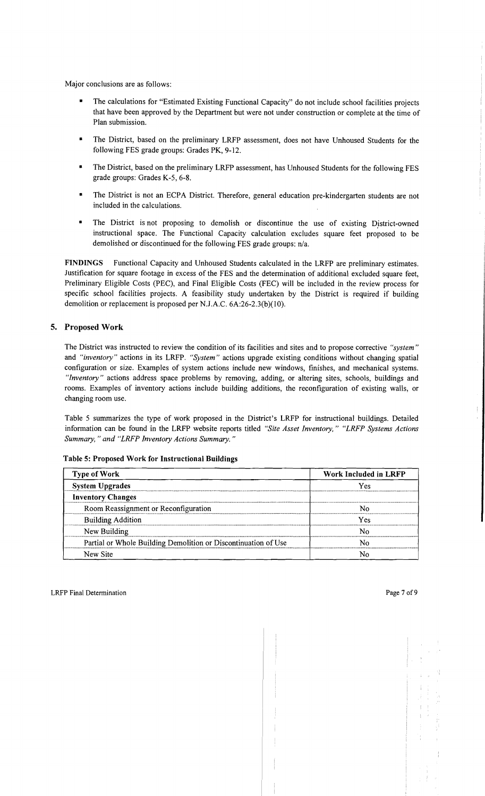Major conclusions are as follows:

- The calculations for "Estimated Existing Functional Capacity" do not include school facilities projects that have been approved by the Department but were not under construction or complete at the time of Plan submission.
- The District, based on the preliminary LRFP assessment, does not have Unhoused Students for the following FES grade groups: Grades PK, 9-12.
- The District, based on the preliminary LRFP assessment, has Unhoused Students for the following FES grade groups: Grades K-5, 6-8.
- The District is not an ECPA District. Therefore, general education pre-kindergarten students are not included in the calculations.
- The District is not proposing to demolish or discontinue the use of existing District-owned instructional space. The Functional Capacity calculation excludes square feet proposed to be demolished or discontinued for the following FES grade groups: n/a.

FINDINGS Functional Capacity and Unhoused Students calculated in the LRFP are preliminary estimates. Justification for square footage in excess of the FES and the determination of additional excluded square feet, Preliminary Eligible Costs (PEC), and Final Eligible Costs (FEC) will be included in the review process for specific school facilities projects. A feasibility study undertaken by the District is required if building demolition or replacement is proposed per N.J.A.C. 6A:26-2.3(b)(10).

## 5. Proposed Work

The District was instructed to review the condition of its facilities and sites and to propose corrective *"system"*  and *"inventory"* actions in its LRFP. *"System"* actions upgrade existing conditions without changing spatial configuration or size. Examples of system actions include new windows, finishes, and mechanical systems. *"Inventory"* actions address space problems by removing, adding, or altering sites, schools, buildings and rooms. Examples of inventory actions include building additions, the reconfiguration of existing walls, or changing room use.

Table 5 summarizes the type of work proposed in the District's LRFP for instructional buildings. Detailed information can be found in the LRFP website reports titled *"Site Asset Inventory," "LRFP Systems Actions Summary,* " *and "LRFP Inventory Actions Summary. "* 

| <b>Type of Work</b>                                            | Work Included in LRFP |  |  |
|----------------------------------------------------------------|-----------------------|--|--|
| <b>System Upgrades</b>                                         | Yes                   |  |  |
| <b>Inventory Changes</b>                                       |                       |  |  |
| Room Reassignment or Reconfiguration                           | Ν٥                    |  |  |
| <b>Building Addition</b>                                       | Yes                   |  |  |
| New Building                                                   | N٥                    |  |  |
| Partial or Whole Building Demolition or Discontinuation of Use | N٥                    |  |  |
| New Site                                                       |                       |  |  |

Table 5: Proposed Work for Instructional Buildings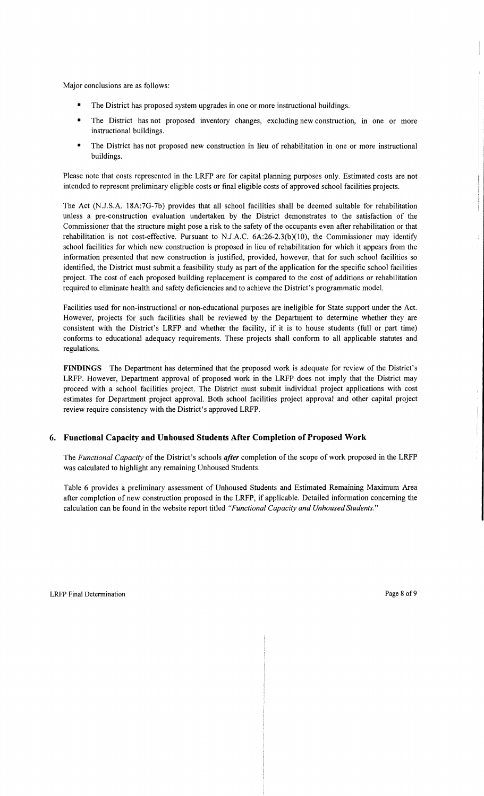Major conclusions are as follows:

- The District has proposed system upgrades in one or more instructional buildings.
- The District has not proposed inventory changes, excluding new construction, in one or more instructional buildings.
- The District has not proposed new construction in lieu of rehabilitation in one or more instructional buildings.

Please note that costs represented in the LRFP are for capital planning purposes only. Estimated costs are not intended to represent preliminary eligible costs or fmal eligible costs of approved school facilities projects.

The Act (N .J.S.A. 18A:7G-7b) provides that all school facilities shall be deemed suitable for rehabilitation unless a pre-construction evaluation undertaken by the District demonstrates to the satisfaction of the Commissioner that the structure might pose a risk to the safety of the occupants even after rehabilitation or that rehabilitation is not cost-effective. Pursuant to N.J.A.C.  $6A:26-2.3(b)(10)$ , the Commissioner may identify school facilities for which new construction is proposed in lieu of rehabilitation for which it appears from the information presented that new construction is justified, provided, however, that for such school facilities so identified, the District must submit a feasibility study as part of the application for the specific school facilities project. The cost of each proposed building replacement is compared to the cost of additions or rehabilitation required to eliminate health and safety deficiencies and to achieve the District's programmatic model.

Facilities used for non-instructional or non-educational purposes are ineligible for State support under the Act. However, projects for such facilities shall be reviewed by the Department to determine whether they are consistent with the District's LRFP and whether the facility, if it is to house students (full or part time) conforms to educational adequacy requirements. These projects shall conform to all applicable statutes and regulations.

FINDINGS The Department has determined that the proposed work is adequate for review of the District's LRFP. However, Department approval of proposed work in the LRFP does not imply that the District may proceed with a school facilities project. The District must submit individual project applications with cost estimates for Department project approval. Both school facilities project approval and other capital project review require consistency with the District's approved LRFP.

## 6. Functional Capacity and Unhoused Students After Completion of Proposed Work

The *Functional Capacity* of the District's schools *after* completion of the scope of work proposed in the LRFP was calculated to highlight any remaining Unhoused Students.

Table 6 provides a preliminary assessment of Unhoused Students and Estimated Remaining Maximum Area after completion of new construction proposed in the LRFP, if applicable. Detailed information concerning the calculation can be found in the website report titled *"Functional Capacity and Unhoused Students."*